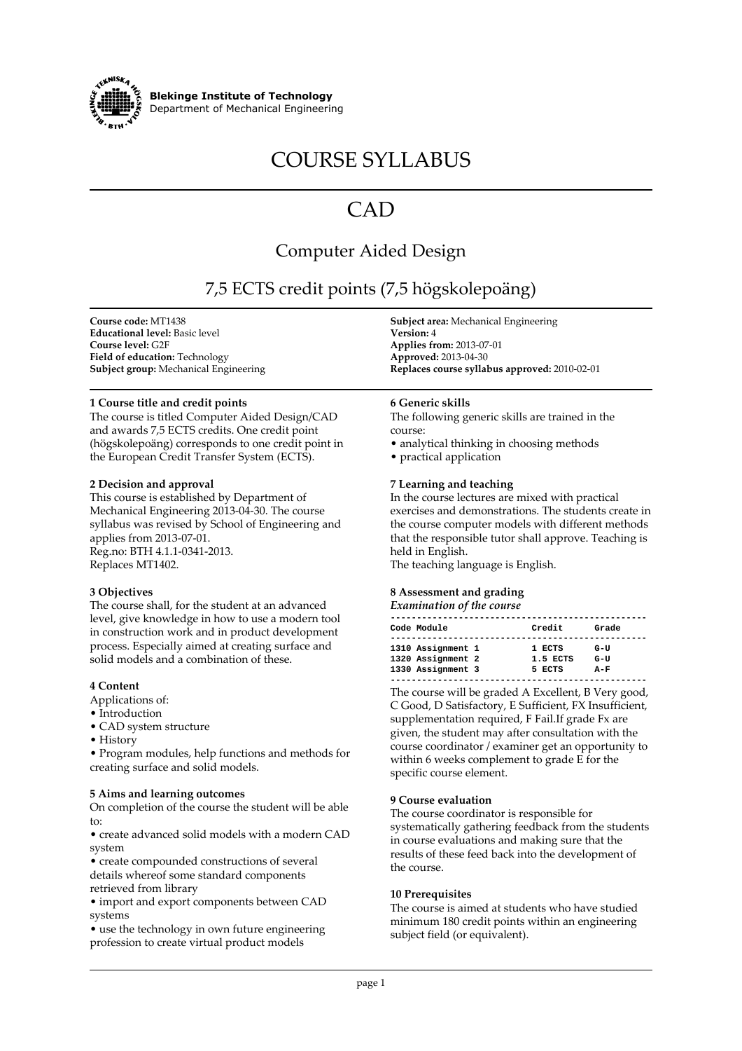

**Blekinge Institute of Technology Department of Mechanical Engineering**

# **COURSE SYLLABUS**

## **CAD**

### **Computer Aided Design**

## **7,5 ECTS credit points (7,5 högskolepoäng)**

**Course code: MT1438 Educational level: Basic level Course level: G2F Field of education: Technology Subject group: Mechanical Engineering**

#### **1 Course title and credit points**

**The course is titled Computer Aided Design/CAD and awards 7,5 ECTS credits. One credit point (högskolepoäng) corresponds to one credit point in the European Credit Transfer System (ECTS).**

#### **2 Decision and approval**

**This course is established by Department of Mechanical Engineering 2013-04-30. The course syllabus was revised by School of Engineering and applies from 2013-07-01. Reg.no: BTH 4.1.1-0341-2013. Replaces MT1402.**

#### **3 Objectives**

**The course shall, for the student at an advanced level, give knowledge in how to use a modern tool in construction work and in product development process. Especially aimed at creating surface and solid models and a combination of these.**

#### **4 Content**

- **Applications of:**
- **Introduction**
- **CAD system structure**
- **History**

**• Program modules, help functions and methods for creating surface and solid models.**

#### **5 Aims and learning outcomes**

**On completion of the course the student will be able to:**

**• create advanced solid models with a modern CAD system**

**• create compounded constructions of several details whereof some standard components retrieved from library**

**• import and export components between CAD systems**

**• use the technology in own future engineering profession to create virtual product models**

**Subject area: Mechanical Engineering Version: 4 Applies from: 2013-07-01 Approved: 2013-04-30 Replaces course syllabus approved: 2010-02-01**

#### **6 Generic skills**

**The following generic skills are trained in the course:**

- **analytical thinking in choosing methods**
- **practical application**

#### **7 Learning and teaching**

**In the course lectures are mixed with practical exercises and demonstrations. The students create in the course computer models with different methods that the responsible tutor shall approve. Teaching is held in English.**

**The teaching language is English.**

#### **8 Assessment and grading** *Examination of the course*

| Liuminution of the course                                   |                              |                       |  |
|-------------------------------------------------------------|------------------------------|-----------------------|--|
| Code Module                                                 | Credit                       | Grade                 |  |
| 1310 Assignment 1<br>1320 Assignment 2<br>1330 Assignment 3 | 1 ECTS<br>1.5 ECTS<br>5 ECTS | G-U<br>$G-U$<br>$A-F$ |  |
|                                                             |                              |                       |  |

**The course will be graded A Excellent, B Very good, C Good, D Satisfactory, E Sufficient, FX Insufficient, supplementation required, F Fail.If grade Fx are given, the student may after consultation with the course coordinator / examiner get an opportunity to within 6 weeks complement to grade E for the specific course element.**

#### **9 Course evaluation**

**The course coordinator is responsible for systematically gathering feedback from the students in course evaluations and making sure that the results of these feed back into the development of the course.**

#### **10 Prerequisites**

**The course is aimed at students who have studied minimum 180 credit points within an engineering subject field (or equivalent).**